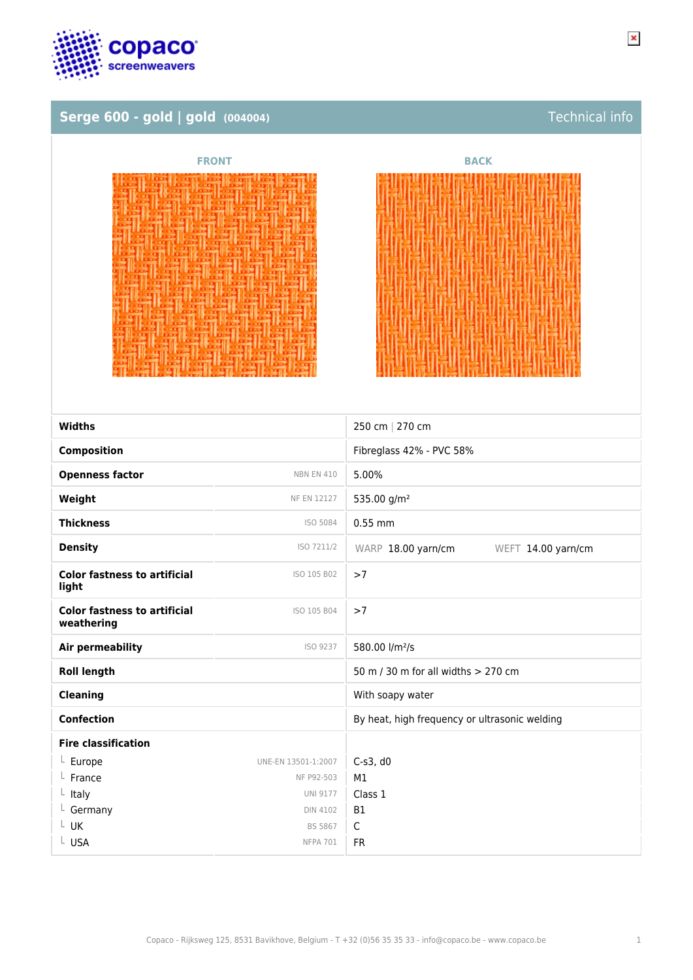

# Serge 600 - gold | gold (004004) **Technical info**

| <b>FRONT</b> | <b>BACK</b> |
|--------------|-------------|
|              |             |
|              |             |

经利息公正 医希联 医前缀 法非法主义

| <b>Widths</b>                                     |                     | 250 cm   270 cm                               |
|---------------------------------------------------|---------------------|-----------------------------------------------|
| <b>Composition</b>                                |                     | Fibreglass 42% - PVC 58%                      |
| <b>Openness factor</b>                            | <b>NBN EN 410</b>   | 5.00%                                         |
| Weight                                            | <b>NF EN 12127</b>  | 535.00 g/m <sup>2</sup>                       |
| <b>Thickness</b>                                  | ISO 5084            | $0.55$ mm                                     |
| <b>Density</b>                                    | ISO 7211/2          | WARP 18.00 yarn/cm<br>WEFT 14.00 yarn/cm      |
| <b>Color fastness to artificial</b><br>light      | ISO 105 B02         | >7                                            |
| <b>Color fastness to artificial</b><br>weathering | ISO 105 B04         | >7                                            |
| <b>Air permeability</b>                           | ISO 9237            | 580.00 l/m <sup>2</sup> /s                    |
| <b>Roll length</b>                                |                     | 50 m / 30 m for all widths > 270 cm           |
| <b>Cleaning</b>                                   |                     | With soapy water                              |
| <b>Confection</b>                                 |                     | By heat, high frequency or ultrasonic welding |
| <b>Fire classification</b>                        |                     |                                               |
| $L$ Europe                                        | UNE-EN 13501-1:2007 | $C-S3$ , d $O$                                |
| France                                            | NF P92-503          | M1                                            |
| $L$ Italy                                         | <b>UNI 9177</b>     | Class 1                                       |
| $L$ Germany                                       | <b>DIN 4102</b>     | <b>B1</b>                                     |
| L UK                                              | <b>BS 5867</b>      | C                                             |
| L USA                                             | <b>NFPA 701</b>     | <b>FR</b>                                     |
|                                                   |                     |                                               |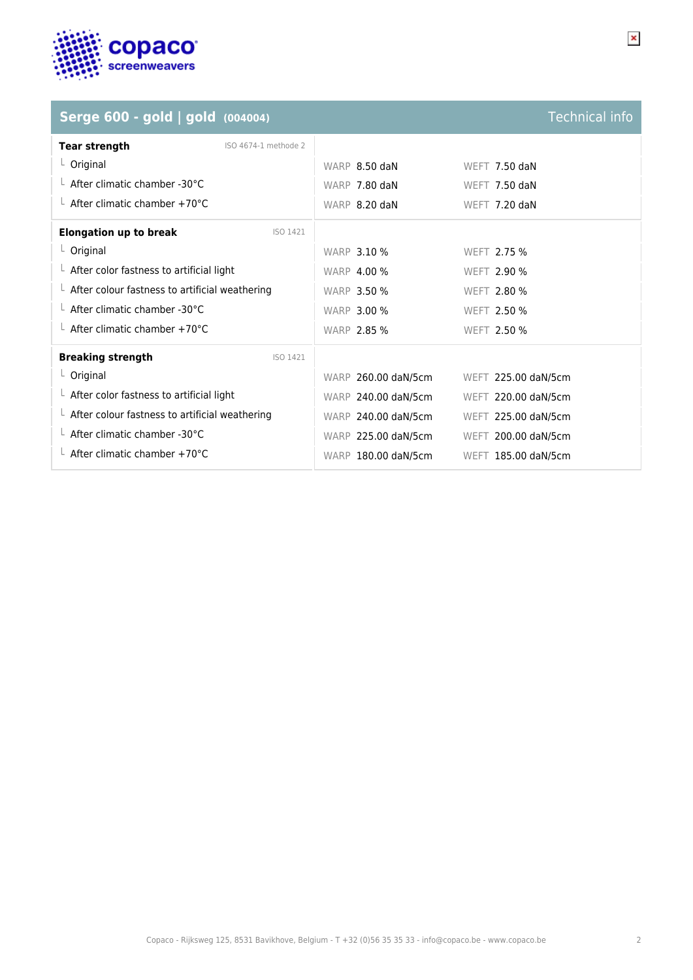

| Serge 600 - gold   gold (004004)                       |                      |                     | <b>Technical info</b> |
|--------------------------------------------------------|----------------------|---------------------|-----------------------|
| <b>Tear strength</b>                                   | ISO 4674-1 methode 2 |                     |                       |
| L Original                                             |                      | WARP 8.50 daN       | WEFT 7.50 daN         |
| $\perp$ After climatic chamber -30°C                   |                      | WARP 7.80 daN       | WEFT 7.50 daN         |
| $\perp$ After climatic chamber +70°C                   |                      | WARP 8.20 daN       | WEFT 7.20 daN         |
| <b>Elongation up to break</b>                          | ISO 1421             |                     |                       |
| $L$ Original                                           |                      | <b>WARP 3.10 %</b>  | WEFT 2.75 %           |
| $\perp$ After color fastness to artificial light       |                      | <b>WARP 4.00 %</b>  | WEFT 2.90 %           |
| $\perp$ After colour fastness to artificial weathering |                      | <b>WARP 3.50 %</b>  | WEFT 2.80 %           |
| $\perp$ After climatic chamber -30°C                   |                      | <b>WARP 3.00 %</b>  | <b>WEFT 2.50 %</b>    |
| L After climatic chamber +70°C                         |                      | <b>WARP 2.85 %</b>  | WEFT 2.50 %           |
| <b>Breaking strength</b>                               | ISO 1421             |                     |                       |
| L Original                                             |                      | WARP 260.00 daN/5cm | WEFT 225.00 daN/5cm   |
| $\perp$ After color fastness to artificial light       |                      | WARP 240.00 daN/5cm | WEFT 220.00 daN/5cm   |
| $\perp$ After colour fastness to artificial weathering |                      | WARP 240.00 daN/5cm | WEFT 225.00 daN/5cm   |
| $\perp$ After climatic chamber -30°C                   |                      | WARP 225.00 daN/5cm | WEFT 200.00 daN/5cm   |
| L After climatic chamber +70°C                         |                      | WARP 180.00 daN/5cm | WEFT 185.00 daN/5cm   |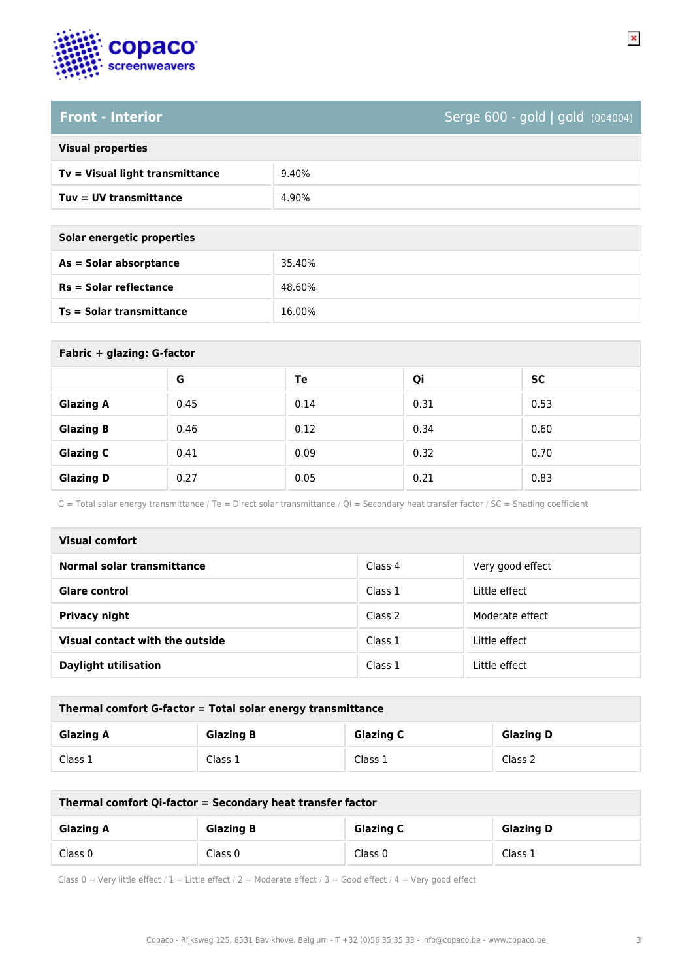

## **Front - Interior** Serge 600 - gold | gold (004004)

### **Visual properties**

| Tv = Visual light transmittance | 9.40% |
|---------------------------------|-------|
| Tuv = UV transmittance          | 4.90% |

| Solar energetic properties |        |
|----------------------------|--------|
| As = Solar absorptance     | 35.40% |
| $Rs = Solar$ reflectance   | 48.60% |
| Ts = Solar transmittance   | 16.00% |

| Fabric + glazing: G-factor |      |      |      |           |
|----------------------------|------|------|------|-----------|
|                            | G    | Te   | Qi   | <b>SC</b> |
| <b>Glazing A</b>           | 0.45 | 0.14 | 0.31 | 0.53      |
| <b>Glazing B</b>           | 0.46 | 0.12 | 0.34 | 0.60      |
| <b>Glazing C</b>           | 0.41 | 0.09 | 0.32 | 0.70      |
| <b>Glazing D</b>           | 0.27 | 0.05 | 0.21 | 0.83      |

G = Total solar energy transmittance / Te = Direct solar transmittance / Qi = Secondary heat transfer factor / SC = Shading coefficient

| Visual comfort                  |                    |                  |
|---------------------------------|--------------------|------------------|
| Normal solar transmittance      | Class 4            | Very good effect |
| Glare control                   | Class 1            | Little effect    |
| <b>Privacy night</b>            | Class <sub>2</sub> | Moderate effect  |
| Visual contact with the outside | Class 1            | Little effect    |
| <b>Daylight utilisation</b>     | Class 1            | Little effect    |

| Thermal comfort G-factor = Total solar energy transmittance |                  |                  |                  |
|-------------------------------------------------------------|------------------|------------------|------------------|
| <b>Glazing A</b>                                            | <b>Glazing B</b> | <b>Glazing C</b> | <b>Glazing D</b> |
| Class 1                                                     | Class 1          | Class 1          | Class 2          |

| Thermal comfort Qi-factor = Secondary heat transfer factor |                  |                  |                  |
|------------------------------------------------------------|------------------|------------------|------------------|
| <b>Glazing A</b>                                           | <b>Glazing B</b> | <b>Glazing C</b> | <b>Glazing D</b> |
| Class 0                                                    | Class 0          | Class 0          | Class 1          |

Class 0 = Very little effect / 1 = Little effect / 2 = Moderate effect / 3 = Good effect / 4 = Very good effect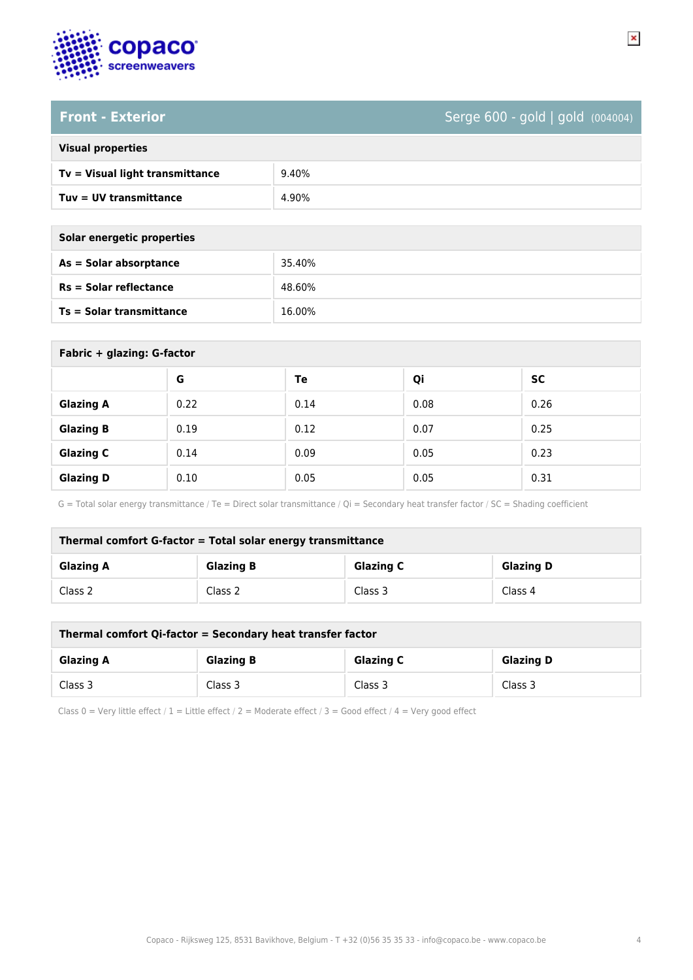

## **Front - Exterior** Serge 600 - gold | gold (004004)

### **Visual properties**

| Tv = Visual light transmittance | 9.40% |
|---------------------------------|-------|
| Tuv = UV transmittance          | 4.90% |

| Solar energetic properties      |        |
|---------------------------------|--------|
| $As = Solar absorptance$        | 35.40% |
| $Rs = Solar$ reflectance        | 48.60% |
| <b>Ts = Solar transmittance</b> | 16.00% |

| Fabric + glazing: G-factor |      |      |      |           |
|----------------------------|------|------|------|-----------|
|                            | G    | Te   | Qi   | <b>SC</b> |
| <b>Glazing A</b>           | 0.22 | 0.14 | 0.08 | 0.26      |
| <b>Glazing B</b>           | 0.19 | 0.12 | 0.07 | 0.25      |
| <b>Glazing C</b>           | 0.14 | 0.09 | 0.05 | 0.23      |
| <b>Glazing D</b>           | 0.10 | 0.05 | 0.05 | 0.31      |

G = Total solar energy transmittance / Te = Direct solar transmittance / Qi = Secondary heat transfer factor / SC = Shading coefficient

| Thermal comfort G-factor = Total solar energy transmittance |                  |                  |                  |
|-------------------------------------------------------------|------------------|------------------|------------------|
| <b>Glazing A</b>                                            | <b>Glazing B</b> | <b>Glazing C</b> | <b>Glazing D</b> |
| Class 2                                                     | Class 2          | Class 3          | Class 4          |

| Thermal comfort Qi-factor = Secondary heat transfer factor |                  |                  |                  |
|------------------------------------------------------------|------------------|------------------|------------------|
| <b>Glazing A</b>                                           | <b>Glazing B</b> | <b>Glazing C</b> | <b>Glazing D</b> |
| Class 3                                                    | Class 3          | Class 3          | Class 3          |

Class 0 = Very little effect / 1 = Little effect / 2 = Moderate effect / 3 = Good effect / 4 = Very good effect

 $\pmb{\times}$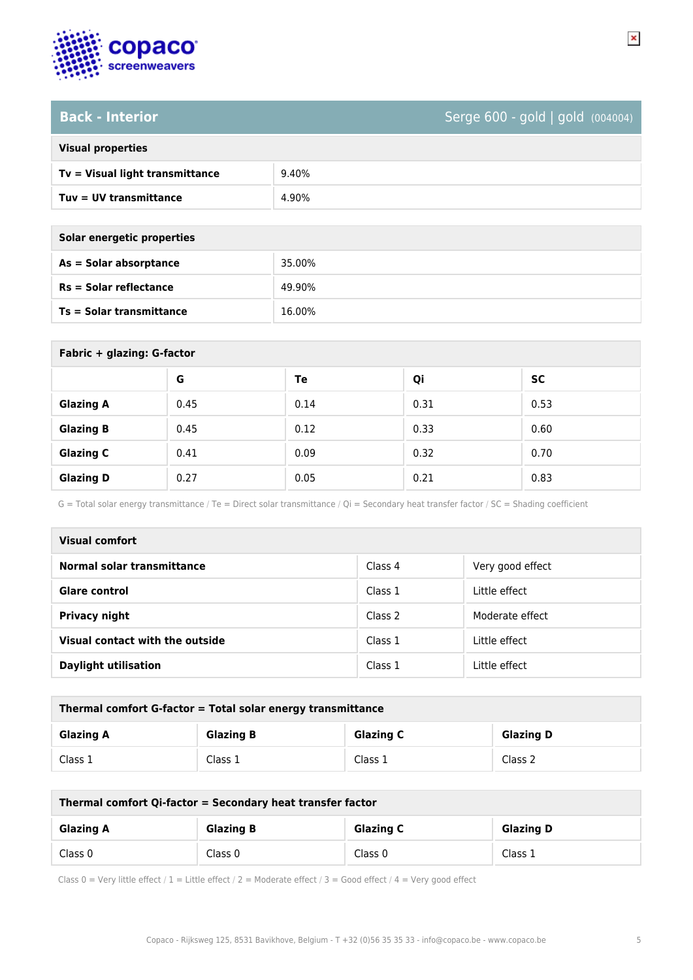

## **Back - Interior** Serge 600 - gold | gold (004004)

|  | <b>Visual properties</b> |
|--|--------------------------|

| Tv = Visual light transmittance | 9.40% |
|---------------------------------|-------|
| Tuv = UV transmittance          | 4.90% |

| Solar energetic properties |  |  |
|----------------------------|--|--|
| 35.00%                     |  |  |
| 49.90%                     |  |  |
| 16.00%                     |  |  |
|                            |  |  |

| Fabric + glazing: G-factor |      |      |      |      |
|----------------------------|------|------|------|------|
|                            | G    | Te   | Qi   | SC   |
| <b>Glazing A</b>           | 0.45 | 0.14 | 0.31 | 0.53 |
| <b>Glazing B</b>           | 0.45 | 0.12 | 0.33 | 0.60 |
| <b>Glazing C</b>           | 0.41 | 0.09 | 0.32 | 0.70 |
| <b>Glazing D</b>           | 0.27 | 0.05 | 0.21 | 0.83 |

G = Total solar energy transmittance / Te = Direct solar transmittance / Qi = Secondary heat transfer factor / SC = Shading coefficient

| Visual comfort                  |         |                  |
|---------------------------------|---------|------------------|
| Normal solar transmittance      | Class 4 | Very good effect |
| <b>Glare control</b>            | Class 1 | Little effect    |
| <b>Privacy night</b>            | Class 2 | Moderate effect  |
| Visual contact with the outside | Class 1 | Little effect    |
| <b>Daylight utilisation</b>     | Class 1 | Little effect    |

| Thermal comfort G-factor = Total solar energy transmittance |                  |                  |                  |
|-------------------------------------------------------------|------------------|------------------|------------------|
| <b>Glazing A</b>                                            | <b>Glazing B</b> | <b>Glazing C</b> | <b>Glazing D</b> |
| Class 1                                                     | Class 1          | Class 1          | Class 2          |

| Thermal comfort Qi-factor = Secondary heat transfer factor |                  |                  |                  |
|------------------------------------------------------------|------------------|------------------|------------------|
| <b>Glazing A</b>                                           | <b>Glazing B</b> | <b>Glazing C</b> | <b>Glazing D</b> |
| Class 0                                                    | Class 0          | Class 0          | Class 1          |

Class 0 = Very little effect / 1 = Little effect / 2 = Moderate effect / 3 = Good effect / 4 = Very good effect